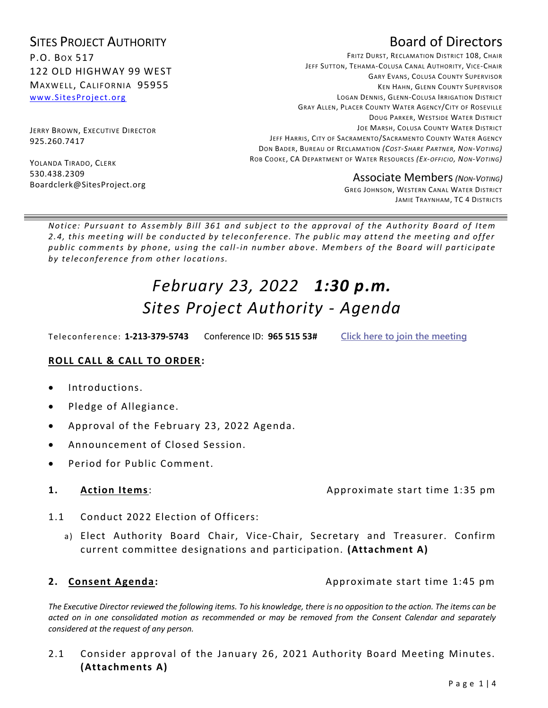### SITES PROJECT AUTHORITY P.O. BOX 517 122 OLD HIGHWAY 99 WEST MAXWELL, CALIFORNIA 95955 [www.SitesProject.org](http://www.sitesproject.org/)

JERRY BROWN, EXECUTIVE DIRECTOR 925.260.7417

YOLANDA TIRADO, CLERK 530.438.2309 Boardclerk@SitesProject.org

## Board of Directors

FRITZ DURST, RECLAMATION DISTRICT 108, CHAIR JEFF SUTTON, TEHAMA-COLUSA CANAL AUTHORITY, VICE-CHAIR GARY EVANS, COLUSA COUNTY SUPERVISOR KEN HAHN, GLENN COUNTY SUPERVISOR LOGAN DENNIS, GLENN-COLUSA IRRIGATION DISTRICT GRAY ALLEN, PLACER COUNTY WATER AGENCY/CITY OF ROSEVILLE DOUG PARKER, WESTSIDE WATER DISTRICT JOE MARSH, COLUSA COUNTY WATER DISTRICT JEFF HARRIS, CITY OF SACRAMENTO/SACRAMENTO COUNTY WATER AGENCY DON BADER, BUREAU OF RECLAMATION *(COST-SHARE PARTNER, NON-VOTING)* ROB COOKE, CA DEPARTMENT OF WATER RESOURCES *(EX-OFFICIO, NON-VOTING)*

Associate Members*(NON-VOTING)*

GREG JOHNSON, WESTERN CANAL WATER DISTRICT JAMIE TRAYNHAM, TC 4 DISTRICTS

*Notice: Pursuant to Assembly Bill 361 and subject to the approval of the Authority Board of Item* 2.4, this meeting will be conducted by teleconference. The public may attend the meeting and offer *public comments by phone, using the call-in number above. Members of the Board will part icipate*  by teleconference from other locations.

# *February 23, 2022 1:30 p.m. Sites Project Authority - Agenda*

Teleconference: **1-213-379-5743** Conference ID: **965 515 53# Click here to join the [meeting](https://teams.microsoft.com/l/meetup-join/19%3ameeting_MjA3OGUxYTktY2NjOS00ZWNlLTlkMTQtNGU5MTUwOTNmYmVl%40thread.v2/0?context=%7b%22Tid%22%3a%22cb2bab3d-7d90-44ea-9e31-531011b1213d%22%2c%22Oid%22%3a%22165a0912-15e6-4a14-8285-b2a97d75a363%22%7d)**

### **ROLL CALL & CALL TO ORDER:**

- Introductions.
- Pledge of Allegiance.
- Approval of the February 23, 2022 Agenda.
- Announcement of Closed Session.
- Period for Public Comment.

### **1.** Action Items: Approximate start time 1:35 pm

- 1.1 Conduct 2022 Election of Officers:
	- a) Elect Authority Board Chair, Vice-Chair, Secretary and Treasurer. Confirm current committee designations and participation. **(Attachment A)**

**2. Consent Agenda: Approximate start time 1:45 pm** 

*The Executive Director reviewed the following items. To his knowledge, there is no opposition to the action. The items can be acted on in one consolidated motion as recommended or may be removed from the Consent Calendar and separately considered at the request of any person.* 

2.1 Consider approval of the January 26, 2021 Authority Board Meeting Minutes. **(Attachments A)**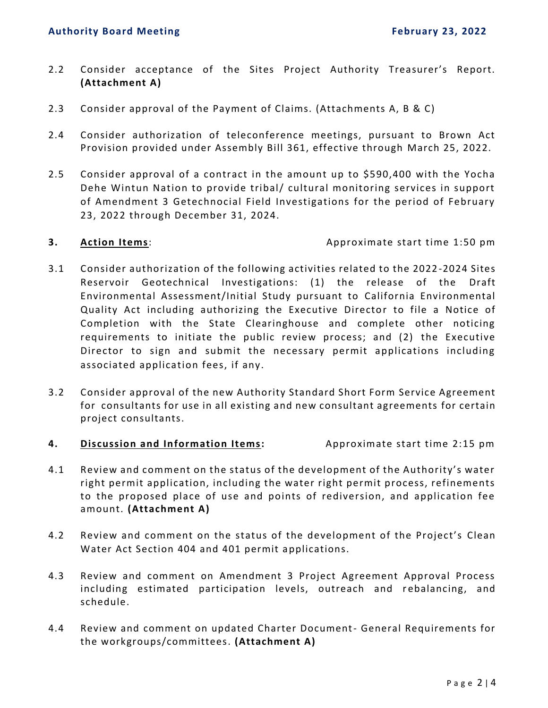- 2.2 Consider acceptance of the Sites Project Authority Treasurer's Report. **(Attachment A)**
- 2.3 Consider approval of the Payment of Claims. (Attachments A, B & C)
- 2.4 Consider authorization of teleconference meetings, pursuant to Brown Act Provision provided under Assembly Bill 361, effective through March 25, 2022.
- 2.5 Consider approval of a contract in the amount up to \$590,400 with the Yocha Dehe Wintun Nation to provide tribal/ cultural monitoring services in support of Amendment 3 Getechnocial Field Investigations for the period of February 23, 2022 through December 31, 2024.

**3. Action Items**: Approximate start time 1:50 pm

- 3.1 Consider authorization of the following activities related to the 2022 -2024 Sites Reservoir Geotechnical Investigations: (1) the release of the Draft Environmental Assessment/Initial Study pursuant to California Environmental Quality Act including authorizing the Executive Director to file a Notice of Completion with the State Clearinghouse and complete other noticing requirements to initiate the public review process; and (2) the Executive Director to sign and submit the necessary permit applications including associated application fees, if any.
- 3.2 Consider approval of the new Authority Standard Short Form Service Agreement for consultants for use in all existing and new consultant agreements for certain project consultants.
- **4. Discussion and Information Items:** Approximate start time 2:15 pm
- 4.1 Review and comment on the status of the development of the Authority's water right permit application, including the water right permit process, refinements to the proposed place of use and points of rediversion, and application fee amount. **(Attachment A)**
- 4.2 Review and comment on the status of the development of the Project's Clean Water Act Section 404 and 401 permit applications.
- 4.3 Review and comment on Amendment 3 Project Agreement Approval Process including estimated participation levels, outreach and rebalancing, and schedule.
- 4.4 Review and comment on updated Charter Document- General Requirements for the workgroups/committees. **(Attachment A)**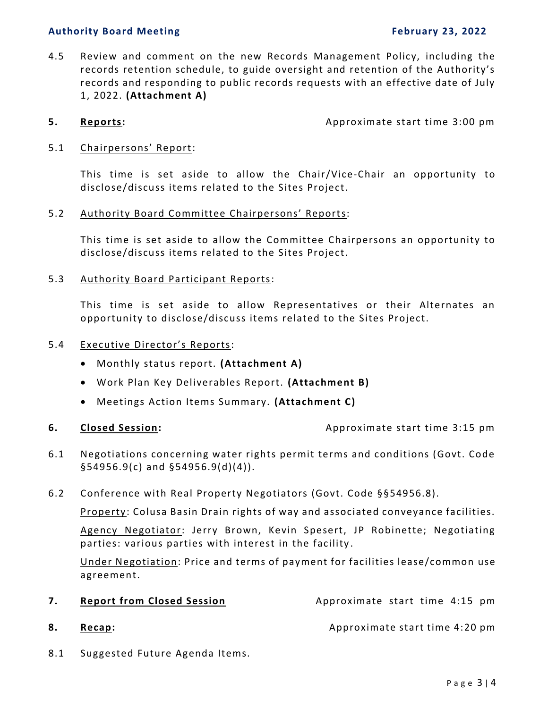### **Authority Board Meeting February 23, 2022**

4.5 Review and comment on the new Records Management Policy, including the records retention schedule, to guide oversight and retention of the Authority's records and responding to public records requests with an effective date of July 1, 2022. **(Attachment A)**

**5. Reports: Approximate start time 3:00 pm** 

### 5.1 Chairpersons' Report:

This time is set aside to allow the Chair/Vice-Chair an opportunity to disclose/discuss items related to the Sites Project.

### 5.2 Authority Board Committee Chairpersons' Reports:

This time is set aside to allow the Committee Chairpersons an opportunity to disclose/discuss items related to the Sites Project.

5.3 Authority Board Participant Reports:

This time is set aside to allow Representatives or their Alternates an opportunity to disclose/discuss items related to the Sites Project.

### 5.4 Executive Director's Reports:

- Monthly status report. **(Attachment A)**
- Work Plan Key Deliverables Report. **(Attachment B)**
- Meetings Action Items Summary. **(Attachment C)**
- 

**6. Closed Session: Closed Session: Approximate start time 3:15 pm** 

- 6.1 Negotiations concerning water rights permit terms and conditions (Govt. Code §54956.9(c) and §54956.9(d)(4)).
- 6.2 Conference with Real Property Negotiators (Govt. Code §§54956.8).

Property: Colusa Basin Drain rights of way and associated conveyance facilities.

Agency Negotiator: Jerry Brown, Kevin Spesert, JP Robinette; Negotiating parties: various parties with interest in the facility .

Under Negotiation: Price and terms of payment for facilities lease/common use agreement.

- **7. Report from Closed Session Approximate start time 4:15 pm**
- 

**8. Recap: Approximate start time 4:20 pm** 

8.1 Suggested Future Agenda Items.